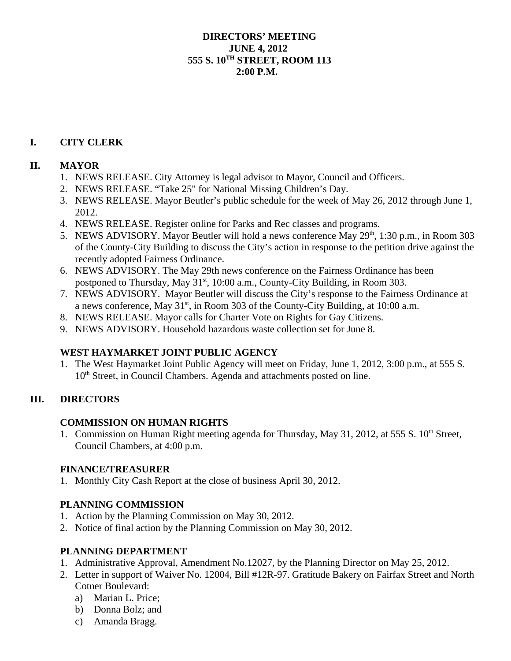### **DIRECTORS' MEETING JUNE 4, 2012 555 S. 10TH STREET, ROOM 113 2:00 P.M.**

# **I. CITY CLERK**

# **II. MAYOR**

- 1. NEWS RELEASE. City Attorney is legal advisor to Mayor, Council and Officers.
- 2. NEWS RELEASE. "Take 25" for National Missing Children's Day.
- 3. NEWS RELEASE. Mayor Beutler's public schedule for the week of May 26, 2012 through June 1, 2012.
- 4. NEWS RELEASE. Register online for Parks and Rec classes and programs.
- 5. NEWS ADVISORY. Mayor Beutler will hold a news conference May  $29<sup>th</sup>$ , 1:30 p.m., in Room 303 of the County-City Building to discuss the City's action in response to the petition drive against the recently adopted Fairness Ordinance.
- 6. NEWS ADVISORY. The May 29th news conference on the Fairness Ordinance has been postponed to Thursday, May  $31<sup>st</sup>$ , 10:00 a.m., County-City Building, in Room 303.
- 7. NEWS ADVISORY. Mayor Beutler will discuss the City's response to the Fairness Ordinance at a news conference, May  $31<sup>st</sup>$ , in Room 303 of the County-City Building, at 10:00 a.m.
- 8. NEWS RELEASE. Mayor calls for Charter Vote on Rights for Gay Citizens.
- 9. NEWS ADVISORY. Household hazardous waste collection set for June 8.

# **WEST HAYMARKET JOINT PUBLIC AGENCY**

1. The West Haymarket Joint Public Agency will meet on Friday, June 1, 2012, 3:00 p.m., at 555 S. 10<sup>th</sup> Street, in Council Chambers. Agenda and attachments posted on line.

# **III. DIRECTORS**

### **COMMISSION ON HUMAN RIGHTS**

1. Commission on Human Right meeting agenda for Thursday, May 31, 2012, at 555 S. 10<sup>th</sup> Street, Council Chambers, at 4:00 p.m.

### **FINANCE/TREASURER**

1. Monthly City Cash Report at the close of business April 30, 2012.

# **PLANNING COMMISSION**

- 1. Action by the Planning Commission on May 30, 2012.
- 2. Notice of final action by the Planning Commission on May 30, 2012.

# **PLANNING DEPARTMENT**

- 1. Administrative Approval, Amendment No.12027, by the Planning Director on May 25, 2012.
- 2. Letter in support of Waiver No. 12004, Bill #12R-97. Gratitude Bakery on Fairfax Street and North Cotner Boulevard:
	- a) Marian L. Price;
	- b) Donna Bolz; and
	- c) Amanda Bragg.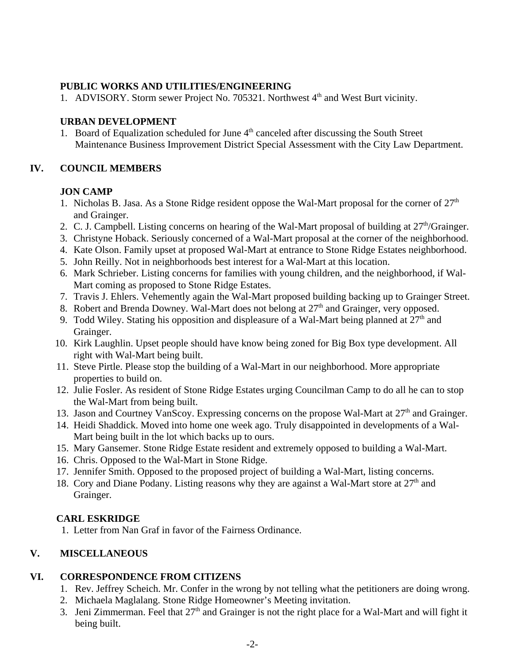### **PUBLIC WORKS AND UTILITIES/ENGINEERING**

1. ADVISORY. Storm sewer Project No. 705321. Northwest 4<sup>th</sup> and West Burt vicinity.

#### **URBAN DEVELOPMENT**

1. Board of Equalization scheduled for June  $4<sup>th</sup>$  canceled after discussing the South Street Maintenance Business Improvement District Special Assessment with the City Law Department.

#### **IV. COUNCIL MEMBERS**

### **JON CAMP**

- 1. Nicholas B. Jasa. As a Stone Ridge resident oppose the Wal-Mart proposal for the corner of  $27<sup>th</sup>$ and Grainger.
- 2. C. J. Campbell. Listing concerns on hearing of the Wal-Mart proposal of building at  $27<sup>th</sup>/Grainger$ .
- 3. Christyne Hoback. Seriously concerned of a Wal-Mart proposal at the corner of the neighborhood.
- 4. Kate Olson. Family upset at proposed Wal-Mart at entrance to Stone Ridge Estates neighborhood.
- 5. John Reilly. Not in neighborhoods best interest for a Wal-Mart at this location.
- 6. Mark Schrieber. Listing concerns for families with young children, and the neighborhood, if Wal-Mart coming as proposed to Stone Ridge Estates.
- 7. Travis J. Ehlers. Vehemently again the Wal-Mart proposed building backing up to Grainger Street.
- 8. Robert and Brenda Downey. Wal-Mart does not belong at  $27<sup>th</sup>$  and Grainger, very opposed.
- 9. Todd Wiley. Stating his opposition and displeasure of a Wal-Mart being planned at  $27<sup>th</sup>$  and Grainger.
- 10. Kirk Laughlin. Upset people should have know being zoned for Big Box type development. All right with Wal-Mart being built.
- 11. Steve Pirtle. Please stop the building of a Wal-Mart in our neighborhood. More appropriate properties to build on.
- 12. Julie Fosler. As resident of Stone Ridge Estates urging Councilman Camp to do all he can to stop the Wal-Mart from being built.
- 13. Jason and Courtney VanScoy. Expressing concerns on the propose Wal-Mart at 27<sup>th</sup> and Grainger.
- 14. Heidi Shaddick. Moved into home one week ago. Truly disappointed in developments of a Wal-Mart being built in the lot which backs up to ours.
- 15. Mary Gansemer. Stone Ridge Estate resident and extremely opposed to building a Wal-Mart.
- 16. Chris. Opposed to the Wal-Mart in Stone Ridge.
- 17. Jennifer Smith. Opposed to the proposed project of building a Wal-Mart, listing concerns.
- 18. Cory and Diane Podany. Listing reasons why they are against a Wal-Mart store at  $27<sup>th</sup>$  and Grainger.

### **CARL ESKRIDGE**

1. Letter from Nan Graf in favor of the Fairness Ordinance.

### **V. MISCELLANEOUS**

### **VI. CORRESPONDENCE FROM CITIZENS**

- 1. Rev. Jeffrey Scheich. Mr. Confer in the wrong by not telling what the petitioners are doing wrong.
- 2. Michaela Maglalang. Stone Ridge Homeowner's Meeting invitation.
- 3. Jeni Zimmerman. Feel that  $27<sup>th</sup>$  and Grainger is not the right place for a Wal-Mart and will fight it being built.